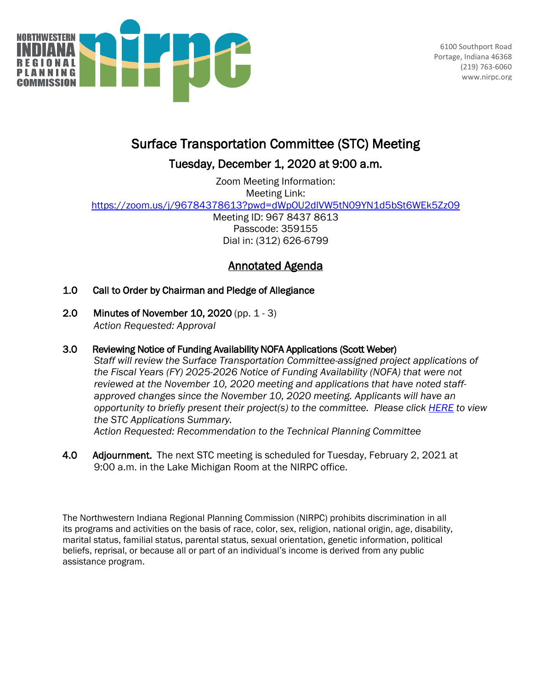

6100 Southport Road Portage, Indiana 46368 (219) 763-6060 www.nirpc.org

# Surface Transportation Committee (STC) Meeting

### Tuesday, December 1, 2020 at 9:00 a.m.

Zoom Meeting Information: Meeting Link: <https://zoom.us/j/96784378613?pwd=dWpOU2dlVW5tN09YN1d5bSt6WEk5Zz09> Meeting ID: 967 8437 8613 Passcode: 359155 Dial in: (312) 626-6799

## Annotated Agenda

- 1.0 Call to Order by Chairman and Pledge of Allegiance
- 2.0 Minutes of November 10, 2020 (pp. 1 3) *Action Requested: Approval*
- 3.0 Reviewing Notice of Funding Availability NOFA Applications (Scott Weber)

*Staff will review the Surface Transportation Committee-assigned project applications of the Fiscal Years (FY) 2025-2026 Notice of Funding Availability (NOFA) that were not reviewed at the November 10, 2020 meeting and applications that have noted staffapproved changes since the November 10, 2020 meeting. Applicants will have an opportunity to briefly present their project(s) to the committee. Please click [HERE](https://docs.google.com/spreadsheets/d/1bQvHlJeCwBAydUw3d0wWrbZP8n6iVoVAv4ovKHpbWrg/edit?usp=sharing) to view the STC Applications Summary.* 

*Action Requested: Recommendation to the Technical Planning Committee* 

4.0 Adjournment. The next STC meeting is scheduled for Tuesday, February 2, 2021 at 9:00 a.m. in the Lake Michigan Room at the NIRPC office.

The Northwestern Indiana Regional Planning Commission (NIRPC) prohibits discrimination in all its programs and activities on the basis of race, color, sex, religion, national origin, age, disability, marital status, familial status, parental status, sexual orientation, genetic information, political beliefs, reprisal, or because all or part of an individual's income is derived from any public assistance program.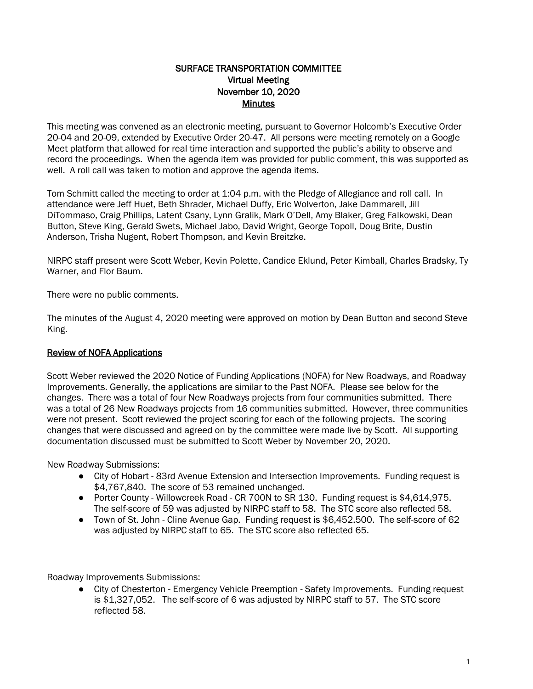#### SURFACE TRANSPORTATION COMMITTEE Virtual Meeting November 10, 2020 **Minutes**

This meeting was convened as an electronic meeting, pursuant to Governor Holcomb's Executive Order 20-04 and 20-09, extended by Executive Order 20-47. All persons were meeting remotely on a Google Meet platform that allowed for real time interaction and supported the public's ability to observe and record the proceedings. When the agenda item was provided for public comment, this was supported as well. A roll call was taken to motion and approve the agenda items.

Tom Schmitt called the meeting to order at 1:04 p.m. with the Pledge of Allegiance and roll call. In attendance were Jeff Huet, Beth Shrader, Michael Duffy, Eric Wolverton, Jake Dammarell, Jill DiTommaso, Craig Phillips, Latent Csany, Lynn Gralik, Mark O'Dell, Amy Blaker, Greg Falkowski, Dean Button, Steve King, Gerald Swets, Michael Jabo, David Wright, George Topoll, Doug Brite, Dustin Anderson, Trisha Nugent, Robert Thompson, and Kevin Breitzke.

NIRPC staff present were Scott Weber, Kevin Polette, Candice Eklund, Peter Kimball, Charles Bradsky, Ty Warner, and Flor Baum.

There were no public comments.

The minutes of the August 4, 2020 meeting were approved on motion by Dean Button and second Steve King.

### Review of NOFA Applications

Scott Weber reviewed the 2020 Notice of Funding Applications (NOFA) for New Roadways, and Roadway Improvements. Generally, the applications are similar to the Past NOFA. Please see below for the changes. There was a total of four New Roadways projects from four communities submitted. There was a total of 26 New Roadways projects from 16 communities submitted. However, three communities were not present. Scott reviewed the project scoring for each of the following projects. The scoring changes that were discussed and agreed on by the committee were made live by Scott. All supporting documentation discussed must be submitted to Scott Weber by November 20, 2020.

New Roadway Submissions:

- City of Hobart 83rd Avenue Extension and Intersection Improvements. Funding request is \$4,767,840. The score of 53 remained unchanged.
- Porter County Willowcreek Road CR 700N to SR 130. Funding request is \$4,614,975. The self-score of 59 was adjusted by NIRPC staff to 58. The STC score also reflected 58.
- Town of St. John Cline Avenue Gap. Funding request is \$6,452,500. The self-score of 62 was adjusted by NIRPC staff to 65. The STC score also reflected 65.

Roadway Improvements Submissions:

● City of Chesterton - Emergency Vehicle Preemption - Safety Improvements. Funding request is \$1,327,052. The self-score of 6 was adjusted by NIRPC staff to 57. The STC score reflected 58.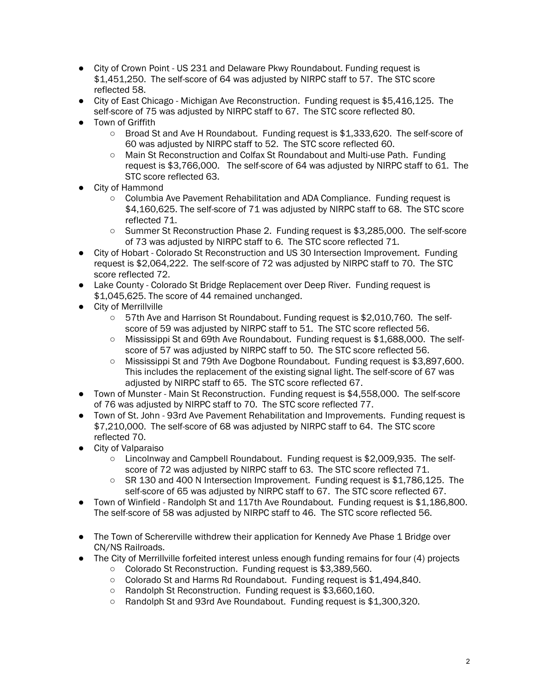- City of Crown Point US 231 and Delaware Pkwy Roundabout. Funding request is \$1,451,250. The self-score of 64 was adjusted by NIRPC staff to 57. The STC score reflected 58.
- City of East Chicago Michigan Ave Reconstruction. Funding request is \$5,416,125. The self-score of 75 was adjusted by NIRPC staff to 67. The STC score reflected 80.
- Town of Griffith
	- Broad St and Ave H Roundabout. Funding request is \$1,333,620. The self-score of 60 was adjusted by NIRPC staff to 52. The STC score reflected 60.
	- Main St Reconstruction and Colfax St Roundabout and Multi-use Path. Funding request is \$3,766,000. The self-score of 64 was adjusted by NIRPC staff to 61. The STC score reflected 63.
- City of Hammond
	- Columbia Ave Pavement Rehabilitation and ADA Compliance. Funding request is \$4,160,625. The self-score of 71 was adjusted by NIRPC staff to 68. The STC score reflected 71.
	- Summer St Reconstruction Phase 2. Funding request is \$3,285,000. The self-score of 73 was adjusted by NIRPC staff to 6. The STC score reflected 71.
- City of Hobart Colorado St Reconstruction and US 30 Intersection Improvement. Funding request is \$2,064,222. The self-score of 72 was adjusted by NIRPC staff to 70. The STC score reflected 72.
- Lake County Colorado St Bridge Replacement over Deep River. Funding request is \$1,045,625. The score of 44 remained unchanged.
- City of Merrillville
	- 57th Ave and Harrison St Roundabout. Funding request is \$2,010,760. The selfscore of 59 was adjusted by NIRPC staff to 51. The STC score reflected 56.
	- Mississippi St and 69th Ave Roundabout. Funding request is \$1,688,000. The selfscore of 57 was adjusted by NIRPC staff to 50. The STC score reflected 56.
	- Mississippi St and 79th Ave Dogbone Roundabout. Funding request is \$3,897,600. This includes the replacement of the existing signal light. The self-score of 67 was adjusted by NIRPC staff to 65. The STC score reflected 67.
- Town of Munster Main St Reconstruction. Funding request is \$4,558,000. The self-score of 76 was adjusted by NIRPC staff to 70. The STC score reflected 77.
- Town of St. John 93rd Ave Pavement Rehabilitation and Improvements. Funding request is \$7,210,000. The self-score of 68 was adjusted by NIRPC staff to 64. The STC score reflected 70.
- City of Valparaiso
	- Lincolnway and Campbell Roundabout. Funding request is \$2,009,935. The selfscore of 72 was adjusted by NIRPC staff to 63. The STC score reflected 71.
	- $\circ$  SR 130 and 400 N Intersection Improvement. Funding request is \$1,786,125. The self-score of 65 was adjusted by NIRPC staff to 67. The STC score reflected 67.
- Town of Winfield Randolph St and 117th Ave Roundabout. Funding request is \$1,186,800. The self-score of 58 was adjusted by NIRPC staff to 46. The STC score reflected 56.
- The Town of Schererville withdrew their application for Kennedy Ave Phase 1 Bridge over CN/NS Railroads.
- The City of Merrillville forfeited interest unless enough funding remains for four (4) projects
	- Colorado St Reconstruction. Funding request is \$3,389,560.
	- Colorado St and Harms Rd Roundabout. Funding request is \$1,494,840.
	- Randolph St Reconstruction. Funding request is \$3,660,160.
	- Randolph St and 93rd Ave Roundabout. Funding request is \$1,300,320.